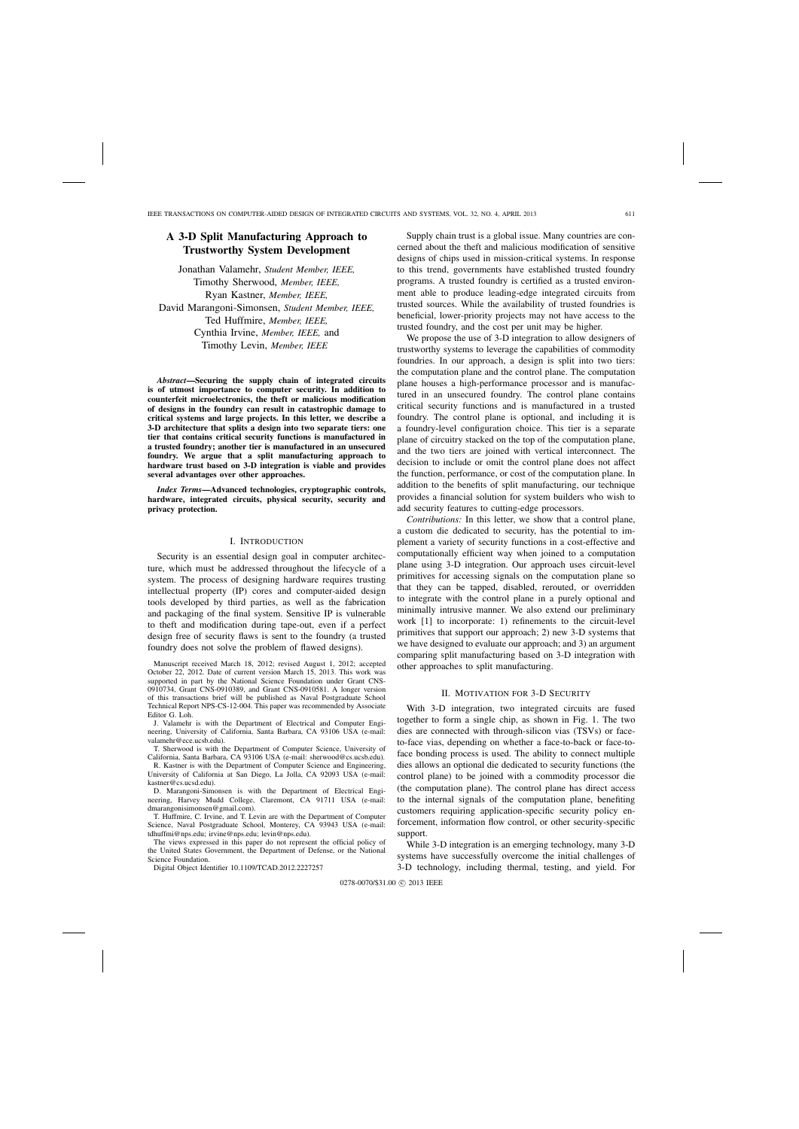# **A 3-D Split Manufacturing Approach to Trustworthy System Development**

Jonathan Valamehr, *Student Member, IEEE,* Timothy Sherwood, *Member, IEEE,* Ryan Kastner, *Member, IEEE,* David Marangoni-Simonsen, *Student Member, IEEE,* Ted Huffmire, *Member, IEEE,* Cynthia Irvine, *Member, IEEE,* and Timothy Levin, *Member, IEEE*

*Abstract***—Securing the supply chain of integrated circuits is of utmost importance to computer security. In addition to counterfeit microelectronics, the theft or malicious modification of designs in the foundry can result in catastrophic damage to critical systems and large projects. In this letter, we describe a 3-D architecture that splits a design into two separate tiers: one tier that contains critical security functions is manufactured in a trusted foundry; another tier is manufactured in an unsecured foundry. We argue that a split manufacturing approach to hardware trust based on 3-D integration is viable and provides several advantages over other approaches.**

*Index Terms***—Advanced technologies, cryptographic controls, hardware, integrated circuits, physical security, security and privacy protection.**

# I. Introduction

Security is an essential design goal in computer architecture, which must be addressed throughout the lifecycle of a system. The process of designing hardware requires trusting intellectual property (IP) cores and computer-aided design tools developed by third parties, as well as the fabrication and packaging of the final system. Sensitive IP is vulnerable to theft and modification during tape-out, even if a perfect design free of security flaws is sent to the foundry (a trusted foundry does not solve the problem of flawed designs).

Manuscript received March 18, 2012; revised August 1, 2012; accepted October 22, 2012. Date of current version March 15, 2013. This work was supported in part by the National Science Foundation under Grant CNS-0910734, Grant CNS-0910389, and Grant CNS-0910581. A longer version of this transactions brief will be published as Naval Postgraduate School Technical Report NPS-CS-12-004. This paper was recommended by Associate Editor G. Loh.

J. Valamehr is with the Department of Electrical and Computer Engineering, University of California, Santa Barbara, CA 93106 USA (e-mail: valamehr@ece.ucsb.edu).

T. Sherwood is with the Department of Computer Science, University of California, Santa Barbara, CA 93106 USA (e-mail: sherwood@cs.ucsb.edu).

R. Kastner is with the Department of Computer Science and Engineering, University of California at San Diego, La Jolla, CA 92093 USA (e-mail: kastner@cs.ucsd.edu).

D. Marangoni-Simonsen is with the Department of Electrical Engineering, Harvey Mudd College, Claremont, CA 91711 USA (e-mail: dmarangonisimonsen@gmail.com).

T. Huffmire, C. Irvine, and T. Levin are with the Department of Computer Science, Naval Postgraduate School, Monterey, CA 93943 USA (e-mail: tdhuffmi@nps.edu; irvine@nps.edu; levin@nps.edu).

The views expressed in this paper do not represent the official policy of the United States Government, the Department of Defense, or the National Science Foundation.

Digital Object Identifier 10.1109/TCAD.2012.2227257

Supply chain trust is a global issue. Many countries are concerned about the theft and malicious modification of sensitive designs of chips used in mission-critical systems. In response to this trend, governments have established trusted foundry programs. A trusted foundry is certified as a trusted environment able to produce leading-edge integrated circuits from trusted sources. While the availability of trusted foundries is beneficial, lower-priority projects may not have access to the trusted foundry, and the cost per unit may be higher.

We propose the use of 3-D integration to allow designers of trustworthy systems to leverage the capabilities of commodity foundries. In our approach, a design is split into two tiers: the computation plane and the control plane. The computation plane houses a high-performance processor and is manufactured in an unsecured foundry. The control plane contains critical security functions and is manufactured in a trusted foundry. The control plane is optional, and including it is a foundry-level configuration choice. This tier is a separate plane of circuitry stacked on the top of the computation plane, and the two tiers are joined with vertical interconnect. The decision to include or omit the control plane does not affect the function, performance, or cost of the computation plane. In addition to the benefits of split manufacturing, our technique provides a financial solution for system builders who wish to add security features to cutting-edge processors.

*Contributions:* In this letter, we show that a control plane, a custom die dedicated to security, has the potential to implement a variety of security functions in a cost-effective and computationally efficient way when joined to a computation plane using 3-D integration. Our approach uses circuit-level primitives for accessing signals on the computation plane so that they can be tapped, disabled, rerouted, or overridden to integrate with the control plane in a purely optional and minimally intrusive manner. We also extend our preliminary work [1] to incorporate: 1) refinements to the circuit-level primitives that support our approach; 2) new 3-D systems that we have designed to evaluate our approach; and 3) an argument comparing split manufacturing based on 3-D integration with other approaches to split manufacturing.

# II. MOTIVATION FOR 3-D SECURITY

With 3-D integration, two integrated circuits are fused together to form a single chip, as shown in Fig. 1. The two dies are connected with through-silicon vias (TSVs) or faceto-face vias, depending on whether a face-to-back or face-toface bonding process is used. The ability to connect multiple dies allows an optional die dedicated to security functions (the control plane) to be joined with a commodity processor die (the computation plane). The control plane has direct access to the internal signals of the computation plane, benefiting customers requiring application-specific security policy enforcement, information flow control, or other security-specific support.

While 3-D integration is an emerging technology, many 3-D systems have successfully overcome the initial challenges of 3-D technology, including thermal, testing, and yield. For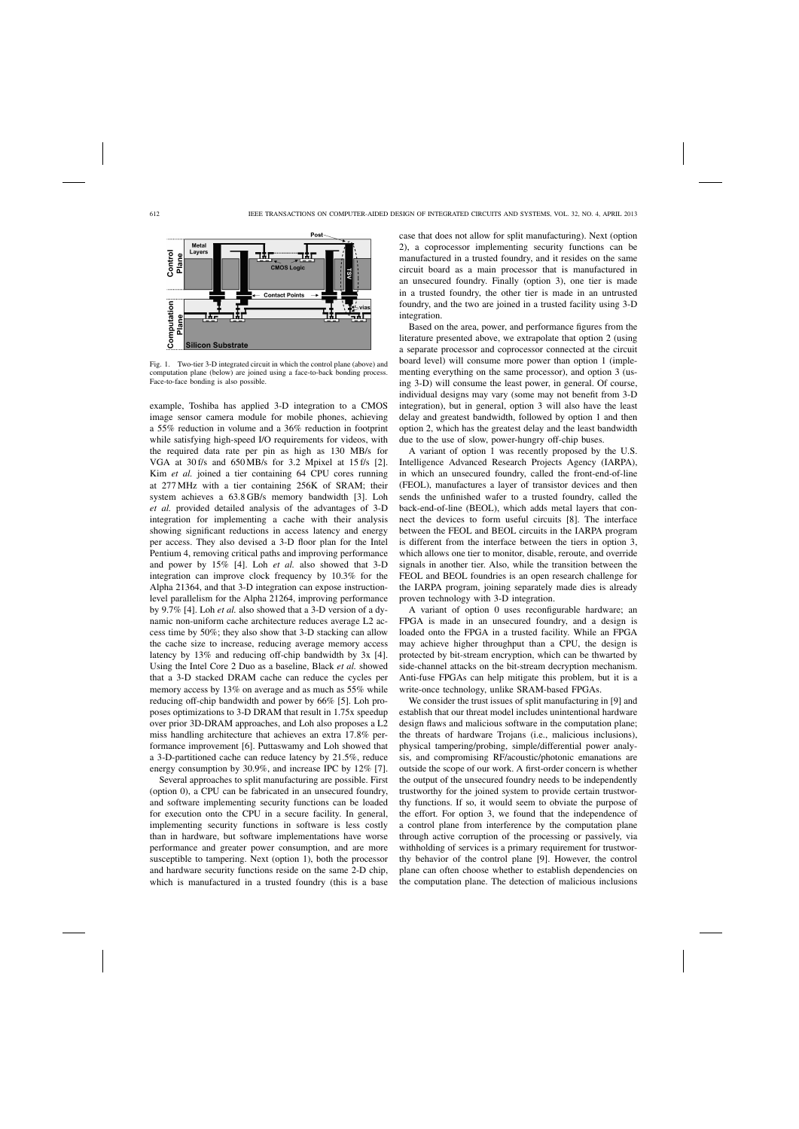

Fig. 1. Two-tier 3-D integrated circuit in which the control plane (above) and computation plane (below) are joined using a face-to-back bonding process. Face-to-face bonding is also possible.

example, Toshiba has applied 3-D integration to a CMOS image sensor camera module for mobile phones, achieving a 55% reduction in volume and a 36% reduction in footprint while satisfying high-speed I/O requirements for videos, with the required data rate per pin as high as 130 MB/s for VGA at 30 f/s and 650 MB/s for 3.2 Mpixel at 15 f/s [2]. Kim *et al.* joined a tier containing 64 CPU cores running at 277 MHz with a tier containing 256K of SRAM; their system achieves a 63.8 GB/s memory bandwidth [3]. Loh *et al.* provided detailed analysis of the advantages of 3-D integration for implementing a cache with their analysis showing significant reductions in access latency and energy per access. They also devised a 3-D floor plan for the Intel Pentium 4, removing critical paths and improving performance and power by 15% [4]. Loh *et al.* also showed that 3-D integration can improve clock frequency by 10.3% for the Alpha 21364, and that 3-D integration can expose instructionlevel parallelism for the Alpha 21264, improving performance by 9.7% [4]. Loh *et al.* also showed that a 3-D version of a dynamic non-uniform cache architecture reduces average L2 access time by 50%; they also show that 3-D stacking can allow the cache size to increase, reducing average memory access latency by 13% and reducing off-chip bandwidth by 3x [4]. Using the Intel Core 2 Duo as a baseline, Black *et al.* showed that a 3-D stacked DRAM cache can reduce the cycles per memory access by 13% on average and as much as 55% while reducing off-chip bandwidth and power by 66% [5]. Loh proposes optimizations to 3-D DRAM that result in 1.75x speedup over prior 3D-DRAM approaches, and Loh also proposes a L2 miss handling architecture that achieves an extra 17.8% performance improvement [6]. Puttaswamy and Loh showed that a 3-D-partitioned cache can reduce latency by 21.5%, reduce energy consumption by 30.9%, and increase IPC by 12% [7].

Several approaches to split manufacturing are possible. First (option 0), a CPU can be fabricated in an unsecured foundry, and software implementing security functions can be loaded for execution onto the CPU in a secure facility. In general, implementing security functions in software is less costly than in hardware, but software implementations have worse performance and greater power consumption, and are more susceptible to tampering. Next (option 1), both the processor and hardware security functions reside on the same 2-D chip, which is manufactured in a trusted foundry (this is a base case that does not allow for split manufacturing). Next (option 2), a coprocessor implementing security functions can be manufactured in a trusted foundry, and it resides on the same circuit board as a main processor that is manufactured in an unsecured foundry. Finally (option 3), one tier is made in a trusted foundry, the other tier is made in an untrusted foundry, and the two are joined in a trusted facility using 3-D integration.

Based on the area, power, and performance figures from the literature presented above, we extrapolate that option 2 (using a separate processor and coprocessor connected at the circuit board level) will consume more power than option 1 (implementing everything on the same processor), and option 3 (using 3-D) will consume the least power, in general. Of course, individual designs may vary (some may not benefit from 3-D integration), but in general, option 3 will also have the least delay and greatest bandwidth, followed by option 1 and then option 2, which has the greatest delay and the least bandwidth due to the use of slow, power-hungry off-chip buses.

A variant of option 1 was recently proposed by the U.S. Intelligence Advanced Research Projects Agency (IARPA), in which an unsecured foundry, called the front-end-of-line (FEOL), manufactures a layer of transistor devices and then sends the unfinished wafer to a trusted foundry, called the back-end-of-line (BEOL), which adds metal layers that connect the devices to form useful circuits [8]. The interface between the FEOL and BEOL circuits in the IARPA program is different from the interface between the tiers in option 3, which allows one tier to monitor, disable, reroute, and override signals in another tier. Also, while the transition between the FEOL and BEOL foundries is an open research challenge for the IARPA program, joining separately made dies is already proven technology with 3-D integration.

A variant of option 0 uses reconfigurable hardware; an FPGA is made in an unsecured foundry, and a design is loaded onto the FPGA in a trusted facility. While an FPGA may achieve higher throughput than a CPU, the design is protected by bit-stream encryption, which can be thwarted by side-channel attacks on the bit-stream decryption mechanism. Anti-fuse FPGAs can help mitigate this problem, but it is a write-once technology, unlike SRAM-based FPGAs.

We consider the trust issues of split manufacturing in [9] and establish that our threat model includes unintentional hardware design flaws and malicious software in the computation plane; the threats of hardware Trojans (i.e., malicious inclusions), physical tampering/probing, simple/differential power analysis, and compromising RF/acoustic/photonic emanations are outside the scope of our work. A first-order concern is whether the output of the unsecured foundry needs to be independently trustworthy for the joined system to provide certain trustworthy functions. If so, it would seem to obviate the purpose of the effort. For option 3, we found that the independence of a control plane from interference by the computation plane through active corruption of the processing or passively, via withholding of services is a primary requirement for trustworthy behavior of the control plane [9]. However, the control plane can often choose whether to establish dependencies on the computation plane. The detection of malicious inclusions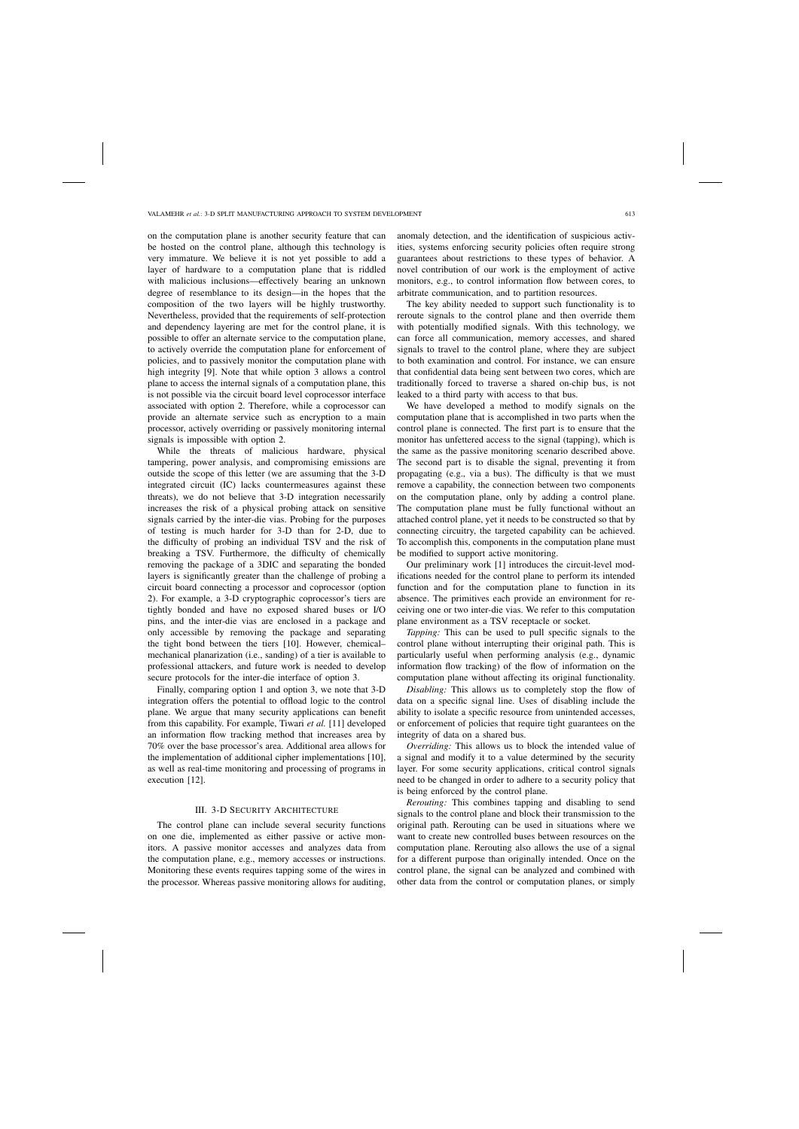on the computation plane is another security feature that can be hosted on the control plane, although this technology is very immature. We believe it is not yet possible to add a layer of hardware to a computation plane that is riddled with malicious inclusions—effectively bearing an unknown degree of resemblance to its design—in the hopes that the composition of the two layers will be highly trustworthy. Nevertheless, provided that the requirements of self-protection and dependency layering are met for the control plane, it is possible to offer an alternate service to the computation plane, to actively override the computation plane for enforcement of policies, and to passively monitor the computation plane with high integrity [9]. Note that while option 3 allows a control plane to access the internal signals of a computation plane, this is not possible via the circuit board level coprocessor interface associated with option 2. Therefore, while a coprocessor can provide an alternate service such as encryption to a main processor, actively overriding or passively monitoring internal signals is impossible with option 2.

While the threats of malicious hardware, physical tampering, power analysis, and compromising emissions are outside the scope of this letter (we are assuming that the 3-D integrated circuit (IC) lacks countermeasures against these threats), we do not believe that 3-D integration necessarily increases the risk of a physical probing attack on sensitive signals carried by the inter-die vias. Probing for the purposes of testing is much harder for 3-D than for 2-D, due to the difficulty of probing an individual TSV and the risk of breaking a TSV. Furthermore, the difficulty of chemically removing the package of a 3DIC and separating the bonded layers is significantly greater than the challenge of probing a circuit board connecting a processor and coprocessor (option 2). For example, a 3-D cryptographic coprocessor's tiers are tightly bonded and have no exposed shared buses or I/O pins, and the inter-die vias are enclosed in a package and only accessible by removing the package and separating the tight bond between the tiers [10]. However, chemical– mechanical planarization (i.e., sanding) of a tier is available to professional attackers, and future work is needed to develop secure protocols for the inter-die interface of option 3.

Finally, comparing option 1 and option 3, we note that 3-D integration offers the potential to offload logic to the control plane. We argue that many security applications can benefit from this capability. For example, Tiwari *et al.* [11] developed an information flow tracking method that increases area by 70% over the base processor's area. Additional area allows for the implementation of additional cipher implementations [10], as well as real-time monitoring and processing of programs in execution [12].

# III. 3-D Security Architecture

The control plane can include several security functions on one die, implemented as either passive or active monitors. A passive monitor accesses and analyzes data from the computation plane, e.g., memory accesses or instructions. Monitoring these events requires tapping some of the wires in the processor. Whereas passive monitoring allows for auditing, anomaly detection, and the identification of suspicious activities, systems enforcing security policies often require strong guarantees about restrictions to these types of behavior. A novel contribution of our work is the employment of active monitors, e.g., to control information flow between cores, to arbitrate communication, and to partition resources.

The key ability needed to support such functionality is to reroute signals to the control plane and then override them with potentially modified signals. With this technology, we can force all communication, memory accesses, and shared signals to travel to the control plane, where they are subject to both examination and control. For instance, we can ensure that confidential data being sent between two cores, which are traditionally forced to traverse a shared on-chip bus, is not leaked to a third party with access to that bus.

We have developed a method to modify signals on the computation plane that is accomplished in two parts when the control plane is connected. The first part is to ensure that the monitor has unfettered access to the signal (tapping), which is the same as the passive monitoring scenario described above. The second part is to disable the signal, preventing it from propagating (e.g., via a bus). The difficulty is that we must remove a capability, the connection between two components on the computation plane, only by adding a control plane. The computation plane must be fully functional without an attached control plane, yet it needs to be constructed so that by connecting circuitry, the targeted capability can be achieved. To accomplish this, components in the computation plane must be modified to support active monitoring.

Our preliminary work [1] introduces the circuit-level modifications needed for the control plane to perform its intended function and for the computation plane to function in its absence. The primitives each provide an environment for receiving one or two inter-die vias. We refer to this computation plane environment as a TSV receptacle or socket.

*Tapping:* This can be used to pull specific signals to the control plane without interrupting their original path. This is particularly useful when performing analysis (e.g., dynamic information flow tracking) of the flow of information on the computation plane without affecting its original functionality.

*Disabling:* This allows us to completely stop the flow of data on a specific signal line. Uses of disabling include the ability to isolate a specific resource from unintended accesses, or enforcement of policies that require tight guarantees on the integrity of data on a shared bus.

*Overriding:* This allows us to block the intended value of a signal and modify it to a value determined by the security layer. For some security applications, critical control signals need to be changed in order to adhere to a security policy that is being enforced by the control plane.

*Rerouting:* This combines tapping and disabling to send signals to the control plane and block their transmission to the original path. Rerouting can be used in situations where we want to create new controlled buses between resources on the computation plane. Rerouting also allows the use of a signal for a different purpose than originally intended. Once on the control plane, the signal can be analyzed and combined with other data from the control or computation planes, or simply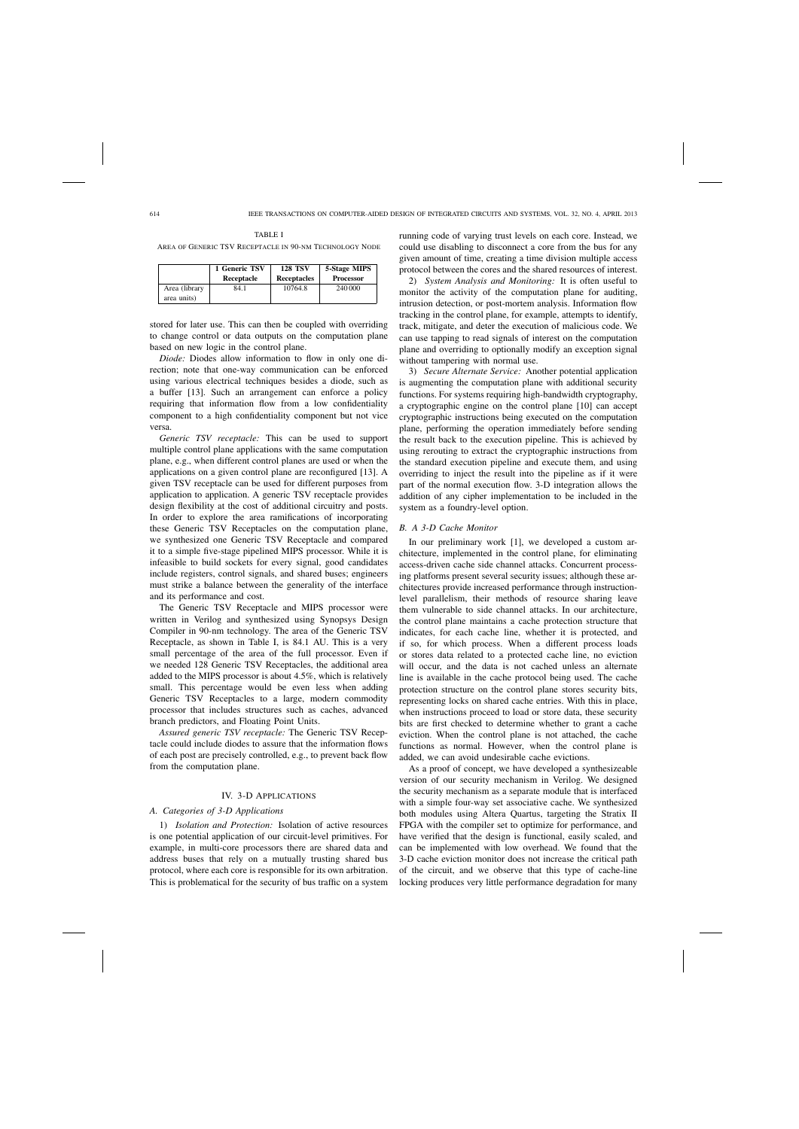TABLE I

Area of Generic TSV Receptacle in 90-nm Technology Node

|                              | 1 Generic TSV | <b>128 TSV</b> | 5-Stage MIPS     |
|------------------------------|---------------|----------------|------------------|
|                              | Receptacle    | Receptacles    | <b>Processor</b> |
| Area (library<br>area units) | 84.1          | 10764.8        | 240 000          |

stored for later use. This can then be coupled with overriding to change control or data outputs on the computation plane based on new logic in the control plane.

*Diode:* Diodes allow information to flow in only one direction; note that one-way communication can be enforced using various electrical techniques besides a diode, such as a buffer [13]. Such an arrangement can enforce a policy requiring that information flow from a low confidentiality component to a high confidentiality component but not vice versa.

*Generic TSV receptacle:* This can be used to support multiple control plane applications with the same computation plane, e.g., when different control planes are used or when the applications on a given control plane are reconfigured [13]. A given TSV receptacle can be used for different purposes from application to application. A generic TSV receptacle provides design flexibility at the cost of additional circuitry and posts. In order to explore the area ramifications of incorporating these Generic TSV Receptacles on the computation plane, we synthesized one Generic TSV Receptacle and compared it to a simple five-stage pipelined MIPS processor. While it is infeasible to build sockets for every signal, good candidates include registers, control signals, and shared buses; engineers must strike a balance between the generality of the interface and its performance and cost.

The Generic TSV Receptacle and MIPS processor were written in Verilog and synthesized using Synopsys Design Compiler in 90-nm technology. The area of the Generic TSV Receptacle, as shown in Table I, is 84.1 AU. This is a very small percentage of the area of the full processor. Even if we needed 128 Generic TSV Receptacles, the additional area added to the MIPS processor is about 4.5%, which is relatively small. This percentage would be even less when adding Generic TSV Receptacles to a large, modern commodity processor that includes structures such as caches, advanced branch predictors, and Floating Point Units.

*Assured generic TSV receptacle:* The Generic TSV Receptacle could include diodes to assure that the information flows of each post are precisely controlled, e.g., to prevent back flow from the computation plane.

### IV. 3-D Applications

### *A. Categories of 3-D Applications*

1) *Isolation and Protection:* Isolation of active resources is one potential application of our circuit-level primitives. For example, in multi-core processors there are shared data and address buses that rely on a mutually trusting shared bus protocol, where each core is responsible for its own arbitration. This is problematical for the security of bus traffic on a system running code of varying trust levels on each core. Instead, we could use disabling to disconnect a core from the bus for any given amount of time, creating a time division multiple access protocol between the cores and the shared resources of interest.

2) *System Analysis and Monitoring:* It is often useful to monitor the activity of the computation plane for auditing, intrusion detection, or post-mortem analysis. Information flow tracking in the control plane, for example, attempts to identify, track, mitigate, and deter the execution of malicious code. We can use tapping to read signals of interest on the computation plane and overriding to optionally modify an exception signal without tampering with normal use.

3) *Secure Alternate Service:* Another potential application is augmenting the computation plane with additional security functions. For systems requiring high-bandwidth cryptography, a cryptographic engine on the control plane [10] can accept cryptographic instructions being executed on the computation plane, performing the operation immediately before sending the result back to the execution pipeline. This is achieved by using rerouting to extract the cryptographic instructions from the standard execution pipeline and execute them, and using overriding to inject the result into the pipeline as if it were part of the normal execution flow. 3-D integration allows the addition of any cipher implementation to be included in the system as a foundry-level option.

#### *B. A 3-D Cache Monitor*

In our preliminary work [1], we developed a custom architecture, implemented in the control plane, for eliminating access-driven cache side channel attacks. Concurrent processing platforms present several security issues; although these architectures provide increased performance through instructionlevel parallelism, their methods of resource sharing leave them vulnerable to side channel attacks. In our architecture, the control plane maintains a cache protection structure that indicates, for each cache line, whether it is protected, and if so, for which process. When a different process loads or stores data related to a protected cache line, no eviction will occur, and the data is not cached unless an alternate line is available in the cache protocol being used. The cache protection structure on the control plane stores security bits, representing locks on shared cache entries. With this in place, when instructions proceed to load or store data, these security bits are first checked to determine whether to grant a cache eviction. When the control plane is not attached, the cache functions as normal. However, when the control plane is added, we can avoid undesirable cache evictions.

As a proof of concept, we have developed a synthesizeable version of our security mechanism in Verilog. We designed the security mechanism as a separate module that is interfaced with a simple four-way set associative cache. We synthesized both modules using Altera Quartus, targeting the Stratix II FPGA with the compiler set to optimize for performance, and have verified that the design is functional, easily scaled, and can be implemented with low overhead. We found that the 3-D cache eviction monitor does not increase the critical path of the circuit, and we observe that this type of cache-line locking produces very little performance degradation for many